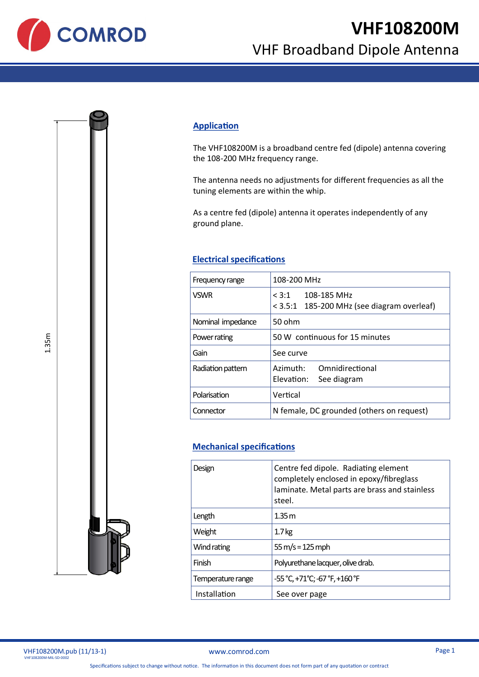

## **Application**

The VHF108200M is a broadband centre fed (dipole) antenna covering the 108-200 MHz frequency range.

The antenna needs no adjustments for different frequencies as all the tuning elements are within the whip.

As a centre fed (dipole) antenna it operates independently of any ground plane.

## **Electrical specifications**

| Frequency range   | 108-200 MHz                                                       |
|-------------------|-------------------------------------------------------------------|
| <b>VSWR</b>       | $< 3:1$ 108-185 MHz<br>< 3.5:1 185-200 MHz (see diagram overleaf) |
| Nominal impedance | 50 ohm                                                            |
| Power rating      | 50 W continuous for 15 minutes                                    |
| Gain              | See curve                                                         |
| Radiation pattern | Azimuth:<br>Omnidirectional<br>Elevation:<br>See diagram          |
| Polarisation      | Vertical                                                          |
| Connector         | N female, DC grounded (others on request)                         |

## **Mechanical specifications**

| Design            | Centre fed dipole. Radiating element<br>completely enclosed in epoxy/fibreglass<br>laminate. Metal parts are brass and stainless<br>steel. |
|-------------------|--------------------------------------------------------------------------------------------------------------------------------------------|
| Length            | 1.35 m                                                                                                                                     |
| Weight            | 1.7 <sub>kg</sub>                                                                                                                          |
| Wind rating       | $55 \,\mathrm{m/s} = 125 \,\mathrm{mph}$                                                                                                   |
| Finish            | Polyurethane lacquer, olive drab.                                                                                                          |
| Temperature range | -55 °C, +71°C; -67 °F, +160 °F                                                                                                             |
| Installation      | See over page                                                                                                                              |